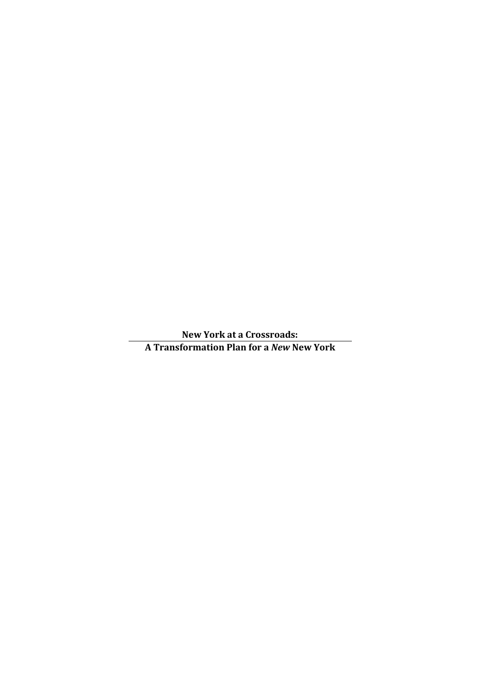**New York at a Crossroads: A Transformation Plan for a** *New* **New York**

 $\overline{a}$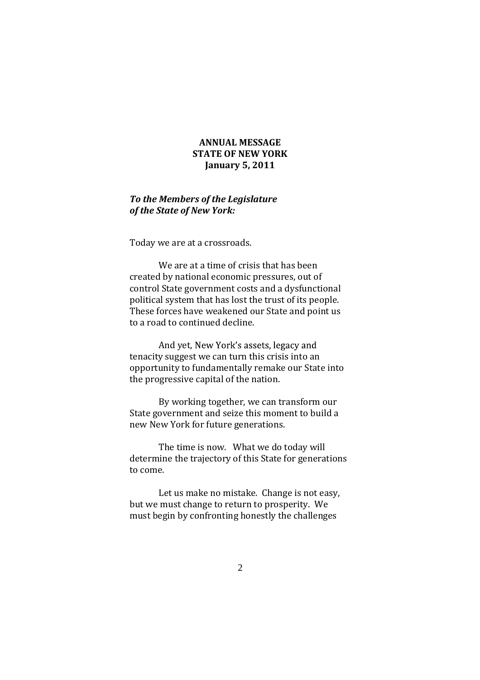# **ANNUAL MESSAGE STATE OF NEW YORK January 5, 2011**

# *To the Members of the Legislature of the State of New York:*

Today we are at a crossroads.

We are at a time of crisis that has been created by national economic pressures, out of control State government costs and a dysfunctional political system that has lost the trust of its people. These forces have weakened our State and point us to a road to continued decline.

And yet, New York's assets, legacy and tenacity suggest we can turn this crisis into an opportunity to fundamentally remake our State into the progressive capital of the nation.

By working together, we can transform our State government and seize this moment to build a new New York for future generations.

The time is now. What we do today will determine the trajectory of this State for generations to come.

Let us make no mistake. Change is not easy, but we must change to return to prosperity. We must begin by confronting honestly the challenges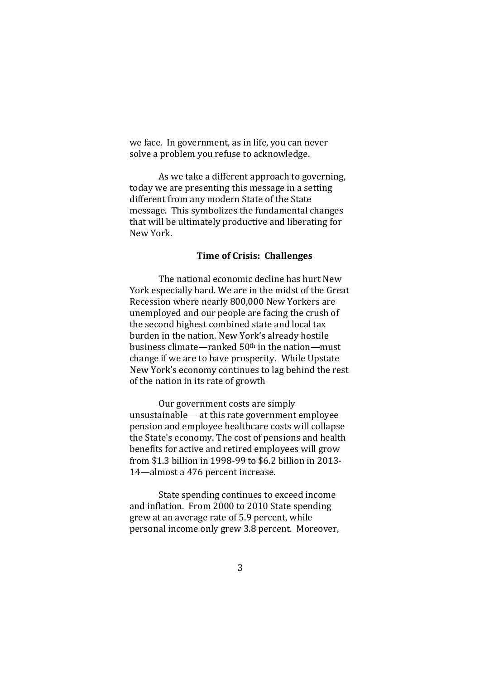we face. In government, as in life, you can never solve a problem you refuse to acknowledge.

As we take a different approach to governing, today we are presenting this message in a setting different from any modern State of the State message. This symbolizes the fundamental changes that will be ultimately productive and liberating for New York.

## **Time of Crisis: Challenges**

The national economic decline has hurt New York especially hard. We are in the midst of the Great Recession where nearly 800,000 New Yorkers are unemployed and our people are facing the crush of the second highest combined state and local tax burden in the nation. New York's already hostile business climate—ranked  $50<sup>th</sup>$  in the nation—must change if we are to have prosperity. While Upstate New York's economy continues to lag behind the rest of the nation in its rate of growth

Our government costs are simply unsustainable - at this rate government employee pension and employee healthcare costs will collapse the State's economy. The cost of pensions and health benefits for active and retired employees will grow from \$1.3 billion in 1998-99 to \$6.2 billion in 2013- 14-almost a 476 percent increase.

State spending continues to exceed income and inflation. From 2000 to 2010 State spending grew at an average rate of 5.9 percent, while personal income only grew 3.8 percent. Moreover,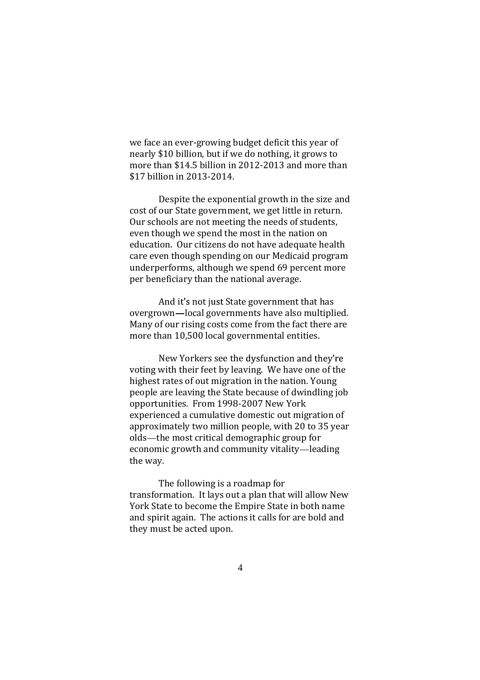we face an ever-growing budget deficit this year of nearly \$10 billion, but if we do nothing, it grows to more than \$14.5 billion in 2012-2013 and more than \$17 billion in 2013-2014.

Despite the exponential growth in the size and cost of our State government, we get little in return. Our schools are not meeting the needs of students, even though we spend the most in the nation on education. Our citizens do not have adequate health care even though spending on our Medicaid program underperforms, although we spend 69 percent more per beneficiary than the national average.

And it's not just State government that has overgrown-local governments have also multiplied. Many of our rising costs come from the fact there are more than 10,500 local governmental entities.

New Yorkers see the dysfunction and they're voting with their feet by leaving. We have one of the highest rates of out migration in the nation. Young people are leaving the State because of dwindling job opportunities. From 1998-2007 New York experienced a cumulative domestic out migration of approximately two million people, with 20 to 35 year olds—the most critical demographic group for economic growth and community vitality-leading the way.

The following is a roadmap for transformation. It lays out a plan that will allow New York State to become the Empire State in both name and spirit again. The actions it calls for are bold and they must be acted upon.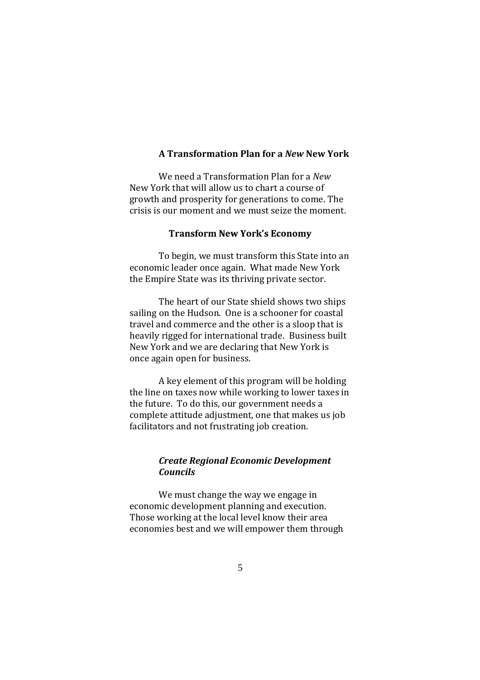## **A Transformation Plan for a** *New* **New York**

We need a Transformation Plan for a *New* New York that will allow us to chart a course of growth and prosperity for generations to come. The crisis is our moment and we must seize the moment.

#### **Transform New York's Economy**

To begin, we must transform this State into an economic leader once again. What made New York the Empire State was its thriving private sector.

The heart of our State shield shows two ships sailing on the Hudson. One is a schooner for coastal travel and commerce and the other is a sloop that is heavily rigged for international trade. Business built New York and we are declaring that New York is once again open for business.

A key element of this program will be holding the line on taxes now while working to lower taxes in the future. To do this, our government needs a complete attitude adjustment, one that makes us job facilitators and not frustrating job creation.

# *Create Regional Economic Development Councils*

We must change the way we engage in economic development planning and execution. Those working at the local level know their area economies best and we will empower them through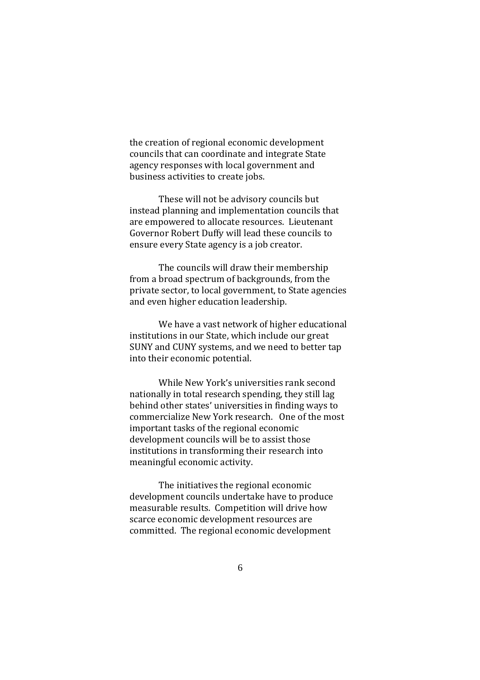the creation of regional economic development councils that can coordinate and integrate State agency responses with local government and business activities to create jobs.

These will not be advisory councils but instead planning and implementation councils that are empowered to allocate resources. Lieutenant Governor Robert Duffy will lead these councils to ensure every State agency is a job creator.

The councils will draw their membership from a broad spectrum of backgrounds, from the private sector, to local government, to State agencies and even higher education leadership.

We have a vast network of higher educational institutions in our State, which include our great SUNY and CUNY systems, and we need to better tap into their economic potential.

While New York's universities rank second nationally in total research spending, they still lag behind other states' universities in finding ways to commercialize New York research. One of the most important tasks of the regional economic development councils will be to assist those institutions in transforming their research into meaningful economic activity.

The initiatives the regional economic development councils undertake have to produce measurable results. Competition will drive how scarce economic development resources are committed. The regional economic development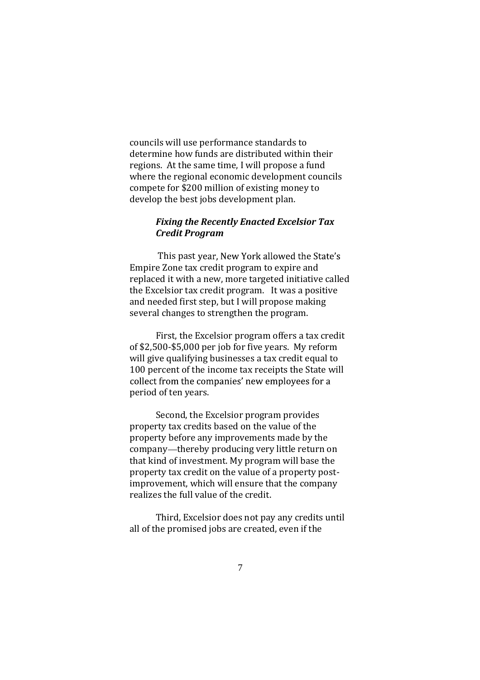councils will use performance standards to determine how funds are distributed within their regions. At the same time, I will propose a fund where the regional economic development councils compete for \$200 million of existing money to develop the best jobs development plan.

## *Fixing the Recently Enacted Excelsior Tax Credit Program*

This past year, New York allowed the State's Empire Zone tax credit program to expire and replaced it with a new, more targeted initiative called the Excelsior tax credit program. It was a positive and needed first step, but I will propose making several changes to strengthen the program.

First, the Excelsior program offers a tax credit of \$2,500-\$5,000 per job for five years. My reform will give qualifying businesses a tax credit equal to 100 percent of the income tax receipts the State will collect from the companies' new employees for a period of ten years.

Second, the Excelsior program provides property tax credits based on the value of the property before any improvements made by the company—thereby producing very little return on that kind of investment. My program will base the property tax credit on the value of a property postimprovement, which will ensure that the company realizes the full value of the credit.

Third, Excelsior does not pay any credits until all of the promised jobs are created, even if the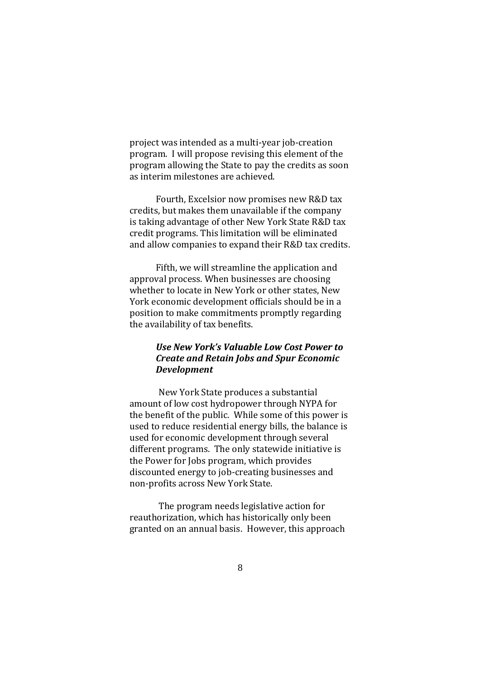project was intended as a multi-year job-creation program. I will propose revising this element of the program allowing the State to pay the credits as soon as interim milestones are achieved.

Fourth, Excelsior now promises new R&D tax credits, but makes them unavailable if the company is taking advantage of other New York State R&D tax credit programs. This limitation will be eliminated and allow companies to expand their R&D tax credits.

Fifth, we will streamline the application and approval process. When businesses are choosing whether to locate in New York or other states, New York economic development officials should be in a position to make commitments promptly regarding the availability of tax benefits.

# Use New York's Valuable Low Cost Power to *Create and Retain Jobs and Spur Economic Development*

New York State produces a substantial amount of low cost hydropower through NYPA for the benefit of the public. While some of this power is used to reduce residential energy bills, the balance is used for economic development through several different programs. The only statewide initiative is the Power for Jobs program, which provides discounted energy to job-creating businesses and non-profits across New York State.

The program needs legislative action for reauthorization, which has historically only been granted on an annual basis. However, this approach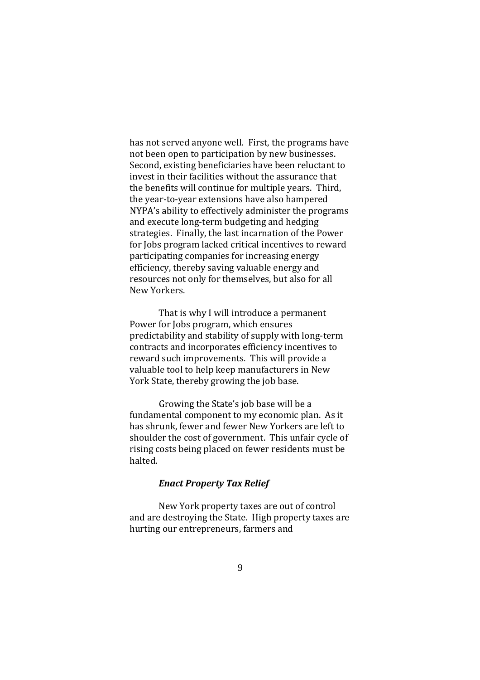has not served anyone well. First, the programs have not been open to participation by new businesses. Second, existing beneficiaries have been reluctant to invest in their facilities without the assurance that the benefits will continue for multiple years. Third, the year-to-year extensions have also hampered NYPA's ability to effectively administer the programs and execute long-term budgeting and hedging strategies. Finally, the last incarnation of the Power for Jobs program lacked critical incentives to reward participating companies for increasing energy efficiency, thereby saving valuable energy and resources not only for themselves, but also for all New Yorkers.

That is why I will introduce a permanent Power for Jobs program, which ensures predictability and stability of supply with long-term contracts and incorporates efficiency incentives to reward such improvements. This will provide a valuable tool to help keep manufacturers in New York State, thereby growing the job base.

Growing the State's job base will be a fundamental component to my economic plan. As it has shrunk, fewer and fewer New Yorkers are left to shoulder the cost of government. This unfair cycle of rising costs being placed on fewer residents must be halted.

# *Enact Property Tax Relief*

New York property taxes are out of control and are destroying the State. High property taxes are hurting our entrepreneurs, farmers and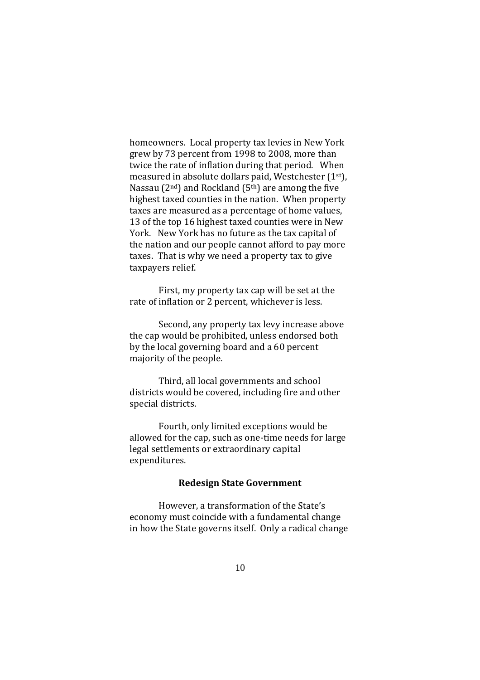homeowners. Local property tax levies in New York grew by 73 percent from 1998 to 2008, more than twice the rate of inflation during that period. When measured in absolute dollars paid, Westchester (1st), Nassau ( $2<sup>nd</sup>$ ) and Rockland ( $5<sup>th</sup>$ ) are among the five highest taxed counties in the nation. When property taxes are measured as a percentage of home values, 13 of the top 16 highest taxed counties were in New York. New York has no future as the tax capital of the nation and our people cannot afford to pay more taxes. That is why we need a property tax to give taxpayers relief.

First, my property tax cap will be set at the rate of inflation or 2 percent, whichever is less.

Second, any property tax levy increase above the cap would be prohibited, unless endorsed both by the local governing board and a 60 percent majority of the people.

Third, all local governments and school districts would be covered, including fire and other special districts.

Fourth, only limited exceptions would be allowed for the cap, such as one-time needs for large legal settlements or extraordinary capital expenditures.

# **Redesign State Government**

However, a transformation of the State's economy must coincide with a fundamental change in how the State governs itself. Only a radical change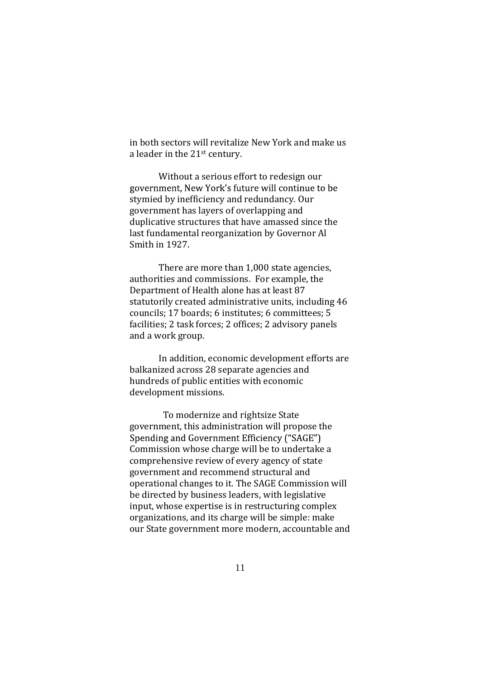in both sectors will revitalize New York and make us a leader in the 21st century.

Without a serious effort to redesign our government, New York's future will continue to be stymied by inefficiency and redundancy. Our government has layers of overlapping and duplicative structures that have amassed since the last fundamental reorganization by Governor Al Smith in 1927.

There are more than 1,000 state agencies, authorities and commissions. For example, the Department of Health alone has at least 87 statutorily created administrative units, including 46 councils; 17 boards; 6 institutes; 6 committees; 5 facilities; 2 task forces; 2 offices; 2 advisory panels and a work group.

In addition, economic development efforts are balkanized across 28 separate agencies and hundreds of public entities with economic development missions.

To modernize and rightsize State government, this administration will propose the Spending and Government Efficiency ("SAGE") Commission whose charge will be to undertake a comprehensive review of every agency of state government and recommend structural and operational changes to it. The SAGE Commission will be directed by business leaders, with legislative input, whose expertise is in restructuring complex organizations, and its charge will be simple: make our State government more modern, accountable and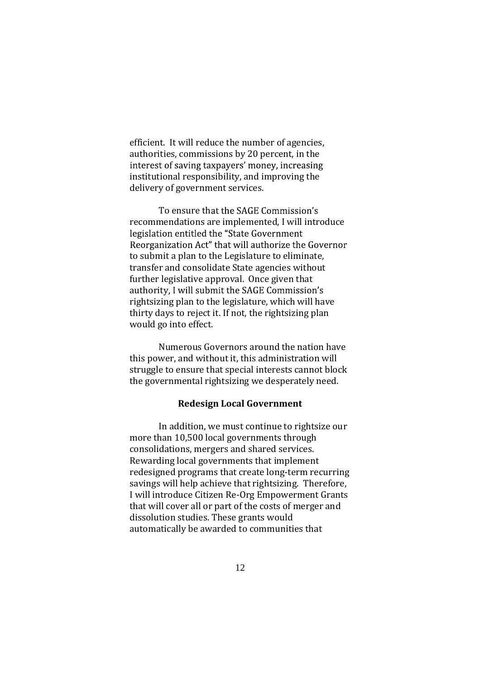efficient. It will reduce the number of agencies, authorities, commissions by 20 percent, in the interest of saving taxpayers' money, increasing institutional responsibility, and improving the delivery of government services.

To ensure that the SAGE Commission's recommendations are implemented, I will introduce legislation entitled the "State Government Reorganization Act" that will authorize the Governor to submit a plan to the Legislature to eliminate, transfer and consolidate State agencies without further legislative approval. Once given that authority, I will submit the SAGE Commission's rightsizing plan to the legislature, which will have thirty days to reject it. If not, the rightsizing plan would go into effect.

Numerous Governors around the nation have this power, and without it, this administration will struggle to ensure that special interests cannot block the governmental rightsizing we desperately need.

## **Redesign Local Government**

In addition, we must continue to rightsize our more than 10,500 local governments through consolidations, mergers and shared services. Rewarding local governments that implement redesigned programs that create long-term recurring savings will help achieve that rightsizing. Therefore, I will introduce Citizen Re-Org Empowerment Grants that will cover all or part of the costs of merger and dissolution studies. These grants would automatically be awarded to communities that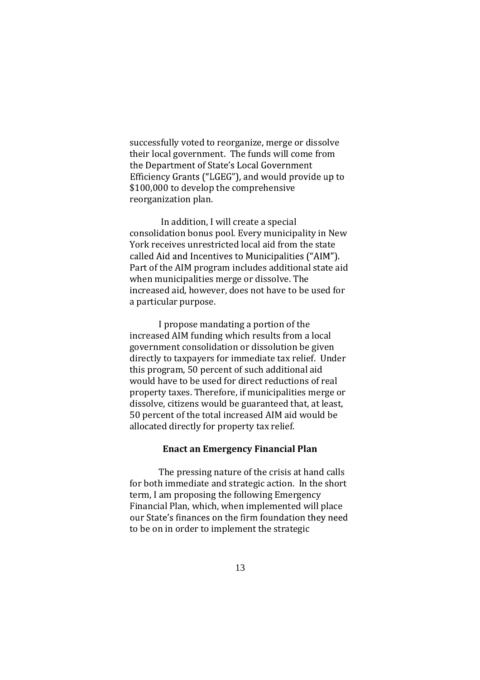successfully voted to reorganize, merge or dissolve their local government. The funds will come from the Department of State's Local Government Efficiency Grants ("LGEG"), and would provide up to \$100,000 to develop the comprehensive reorganization plan.

In addition, I will create a special consolidation bonus pool. Every municipality in New York receives unrestricted local aid from the state called Aid and Incentives to Municipalities ("AIM"). Part of the AIM program includes additional state aid when municipalities merge or dissolve. The increased aid, however, does not have to be used for a particular purpose.

I propose mandating a portion of the increased AIM funding which results from a local government consolidation or dissolution be given directly to taxpayers for immediate tax relief. Under this program, 50 percent of such additional aid would have to be used for direct reductions of real property taxes. Therefore, if municipalities merge or dissolve, citizens would be guaranteed that, at least, 50 percent of the total increased AIM aid would be allocated directly for property tax relief.

#### **Enact an Emergency Financial Plan**

The pressing nature of the crisis at hand calls for both immediate and strategic action. In the short term, I am proposing the following Emergency Financial Plan, which, when implemented will place our State's finances on the firm foundation they need to be on in order to implement the strategic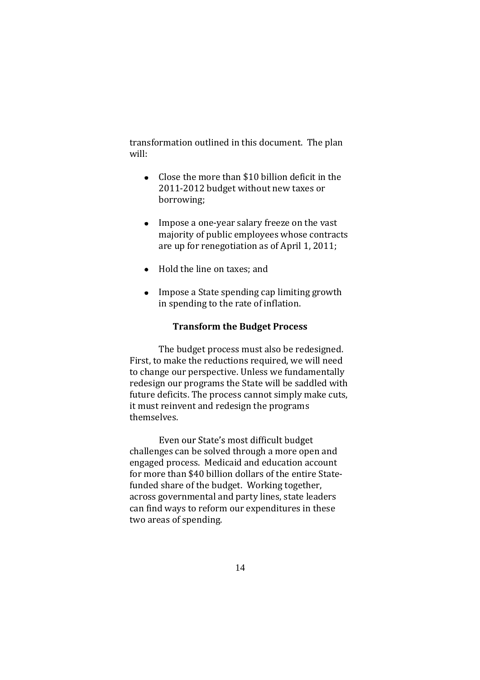transformation outlined in this document. The plan will:

- Close the more than \$10 billion deficit in the  $\bullet$ 2011-2012 budget without new taxes or borrowing;
- Impose a one-year salary freeze on the vast majority of public employees whose contracts are up for renegotiation as of April 1, 2011;
- Hold the line on taxes; and
- Impose a State spending cap limiting growth in spending to the rate of inflation.

### **Transform the Budget Process**

The budget process must also be redesigned. First, to make the reductions required, we will need to change our perspective. Unless we fundamentally redesign our programs the State will be saddled with future deficits. The process cannot simply make cuts, it must reinvent and redesign the programs themselves.

Even our State's most difficult budget challenges can be solved through a more open and engaged process. Medicaid and education account for more than \$40 billion dollars of the entire Statefunded share of the budget. Working together, across governmental and party lines, state leaders can find ways to reform our expenditures in these two areas of spending.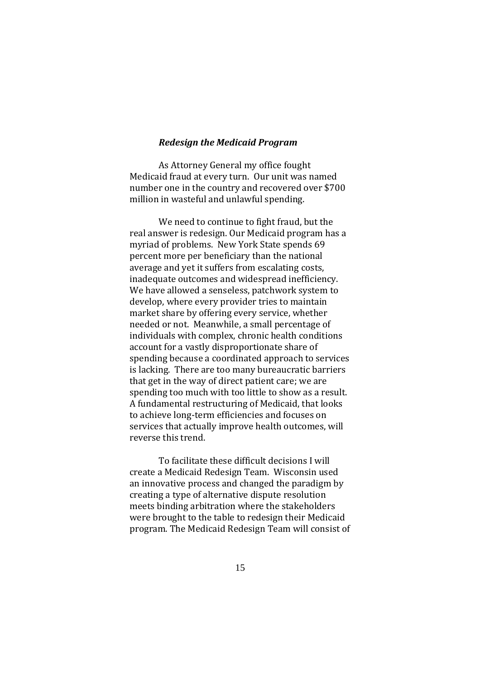#### *Redesign the Medicaid Program*

As Attorney General my office fought Medicaid fraud at every turn. Our unit was named number one in the country and recovered over \$700 million in wasteful and unlawful spending.

We need to continue to fight fraud, but the real answer is redesign. Our Medicaid program has a myriad of problems. New York State spends 69 percent more per beneficiary than the national average and yet it suffers from escalating costs, inadequate outcomes and widespread inefficiency. We have allowed a senseless, patchwork system to develop, where every provider tries to maintain market share by offering every service, whether needed or not. Meanwhile, a small percentage of individuals with complex, chronic health conditions account for a vastly disproportionate share of spending because a coordinated approach to services is lacking. There are too many bureaucratic barriers that get in the way of direct patient care; we are spending too much with too little to show as a result. A fundamental restructuring of Medicaid, that looks to achieve long-term efficiencies and focuses on services that actually improve health outcomes, will reverse this trend.

To facilitate these difficult decisions I will create a Medicaid Redesign Team. Wisconsin used an innovative process and changed the paradigm by creating a type of alternative dispute resolution meets binding arbitration where the stakeholders were brought to the table to redesign their Medicaid program. The Medicaid Redesign Team will consist of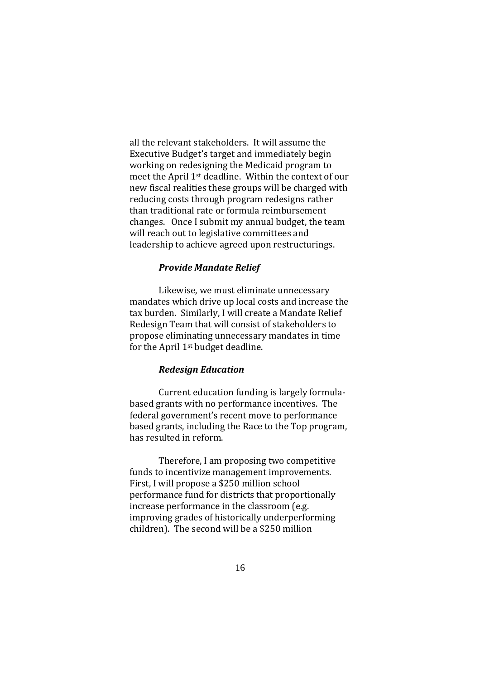all the relevant stakeholders. It will assume the Executive Budget's target and immediately begin working on redesigning the Medicaid program to meet the April 1st deadline. Within the context of our new fiscal realities these groups will be charged with reducing costs through program redesigns rather than traditional rate or formula reimbursement changes. Once I submit my annual budget, the team will reach out to legislative committees and leadership to achieve agreed upon restructurings.

## *Provide Mandate Relief*

Likewise, we must eliminate unnecessary mandates which drive up local costs and increase the tax burden. Similarly, I will create a Mandate Relief Redesign Team that will consist of stakeholders to propose eliminating unnecessary mandates in time for the April 1st budget deadline.

### *Redesign Education*

Current education funding is largely formulabased grants with no performance incentives. The federal government's recent move to performance based grants, including the Race to the Top program, has resulted in reform.

Therefore, I am proposing two competitive funds to incentivize management improvements. First, I will propose a \$250 million school performance fund for districts that proportionally increase performance in the classroom (e.g. improving grades of historically underperforming children). The second will be a \$250 million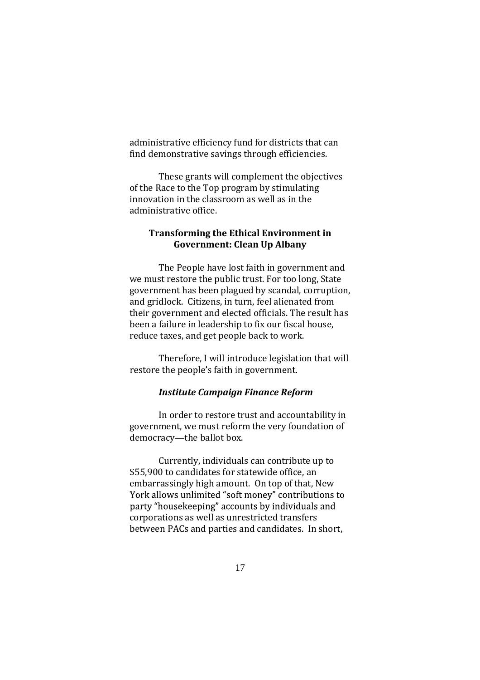administrative efficiency fund for districts that can find demonstrative savings through efficiencies.

These grants will complement the objectives of the Race to the Top program by stimulating innovation in the classroom as well as in the administrative office.

## **Transforming the Ethical Environment in Government: Clean Up Albany**

The People have lost faith in government and we must restore the public trust. For too long, State government has been plagued by scandal, corruption, and gridlock. Citizens, in turn, feel alienated from their government and elected officials. The result has been a failure in leadership to fix our fiscal house, reduce taxes, and get people back to work.

Therefore, I will introduce legislation that will restore the people's faith in government.

## *Institute Campaign Finance Reform*

In order to restore trust and accountability in government, we must reform the very foundation of democracy-the ballot box.

Currently, individuals can contribute up to \$55,900 to candidates for statewide office, an embarrassingly high amount. On top of that, New York allows unlimited "soft money" contributions to party "housekeeping" accounts by individuals and corporations as well as unrestricted transfers between PACs and parties and candidates. In short,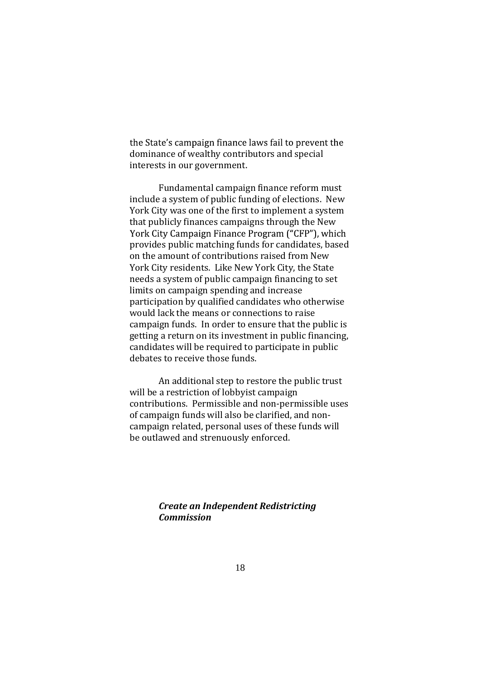the State's campaign finance laws fail to prevent the dominance of wealthy contributors and special interests in our government.

Fundamental campaign finance reform must include a system of public funding of elections. New York City was one of the first to implement a system that publicly finances campaigns through the New York City Campaign Finance Program ("CFP"), which provides public matching funds for candidates, based on the amount of contributions raised from New York City residents. Like New York City, the State needs a system of public campaign financing to set limits on campaign spending and increase participation by qualified candidates who otherwise would lack the means or connections to raise campaign funds. In order to ensure that the public is getting a return on its investment in public financing, candidates will be required to participate in public debates to receive those funds.

An additional step to restore the public trust will be a restriction of lobbyist campaign contributions. Permissible and non-permissible uses of campaign funds will also be clarified, and noncampaign related, personal uses of these funds will be outlawed and strenuously enforced.

> *Create an Independent Redistricting Commission*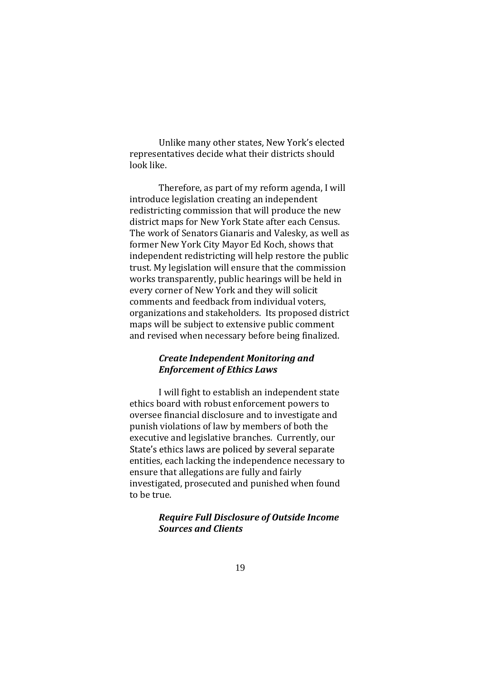Unlike many other states, New York's elected representatives decide what their districts should look like.

Therefore, as part of my reform agenda, I will introduce legislation creating an independent redistricting commission that will produce the new district maps for New York State after each Census. The work of Senators Gianaris and Valesky, as well as former New York City Mayor Ed Koch, shows that independent redistricting will help restore the public trust. My legislation will ensure that the commission works transparently, public hearings will be held in every corner of New York and they will solicit comments and feedback from individual voters, organizations and stakeholders. Its proposed district maps will be subject to extensive public comment and revised when necessary before being finalized.

# *Create Independent Monitoring and Enforcement of Ethics Laws*

I will fight to establish an independent state ethics board with robust enforcement powers to oversee financial disclosure and to investigate and punish violations of law by members of both the executive and legislative branches. Currently, our State's ethics laws are policed by several separate entities, each lacking the independence necessary to ensure that allegations are fully and fairly investigated, prosecuted and punished when found to be true.

# *Require Full Disclosure of Outside Income Sources and Clients*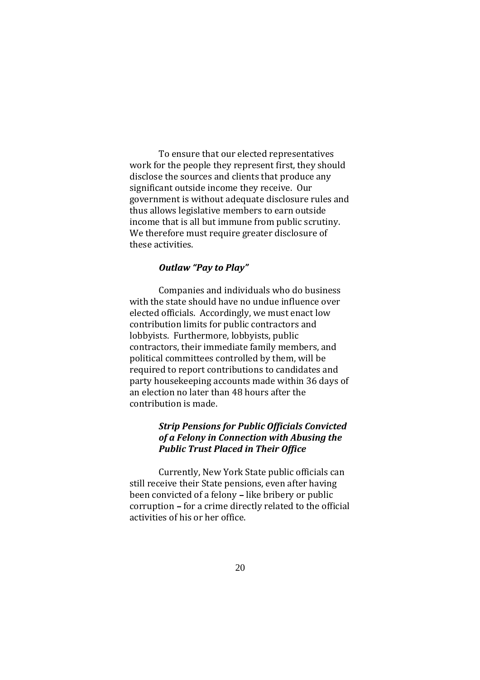To ensure that our elected representatives work for the people they represent first, they should disclose the sources and clients that produce any significant outside income they receive. Our government is without adequate disclosure rules and thus allows legislative members to earn outside income that is all but immune from public scrutiny. We therefore must require greater disclosure of these activities.

## **Outlaw "Pay to Play"**

Companies and individuals who do business with the state should have no undue influence over elected officials. Accordingly, we must enact low contribution limits for public contractors and lobbyists. Furthermore, lobbyists, public contractors, their immediate family members, and political committees controlled by them, will be required to report contributions to candidates and party housekeeping accounts made within 36 days of an election no later than 48 hours after the contribution is made.

# *Strip Pensions for Public Officials Convicted of a Felony in Connection with Abusing the Public Trust Placed in Their Office*

Currently, New York State public officials can still receive their State pensions, even after having been convicted of a felony - like bribery or public corruption - for a crime directly related to the official activities of his or her office.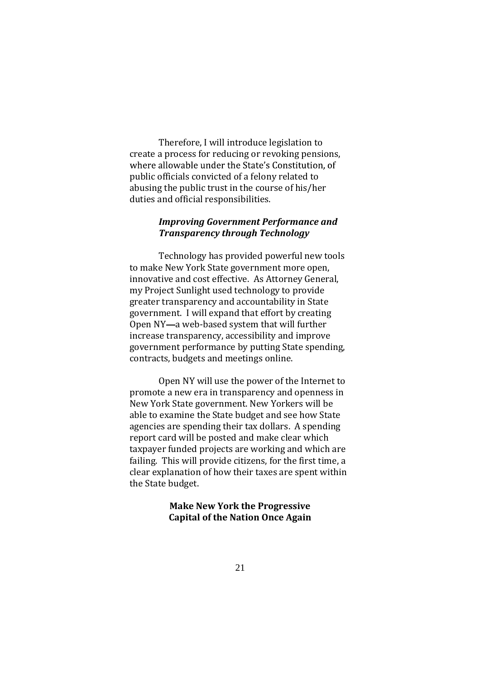Therefore, I will introduce legislation to create a process for reducing or revoking pensions, where allowable under the State's Constitution, of public officials convicted of a felony related to abusing the public trust in the course of his/her duties and official responsibilities.

## *Improving Government Performance and Transparency through Technology*

Technology has provided powerful new tools to make New York State government more open, innovative and cost effective. As Attorney General, my Project Sunlight used technology to provide greater transparency and accountability in State government. I will expand that effort by creating Open NY-a web-based system that will further increase transparency, accessibility and improve government performance by putting State spending, contracts, budgets and meetings online.

Open NY will use the power of the Internet to promote a new era in transparency and openness in New York State government. New Yorkers will be able to examine the State budget and see how State agencies are spending their tax dollars. A spending report card will be posted and make clear which taxpayer funded projects are working and which are failing. This will provide citizens, for the first time, a clear explanation of how their taxes are spent within the State budget.

> **Make New York the Progressive Capital of the Nation Once Again**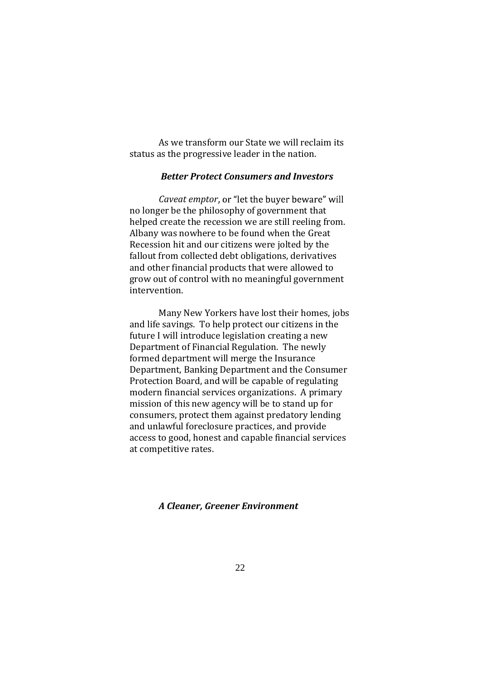As we transform our State we will reclaim its status as the progressive leader in the nation.

## *Better Protect Consumers and Investors*

*Caveat emptor* no longer be the philosophy of government that helped create the recession we are still reeling from. Albany was nowhere to be found when the Great Recession hit and our citizens were jolted by the fallout from collected debt obligations, derivatives and other financial products that were allowed to grow out of control with no meaningful government intervention.

Many New Yorkers have lost their homes, jobs and life savings. To help protect our citizens in the future I will introduce legislation creating a new Department of Financial Regulation. The newly formed department will merge the Insurance Department, Banking Department and the Consumer Protection Board, and will be capable of regulating modern financial services organizations. A primary mission of this new agency will be to stand up for consumers, protect them against predatory lending and unlawful foreclosure practices, and provide access to good, honest and capable financial services at competitive rates.

#### *A Cleaner, Greener Environment*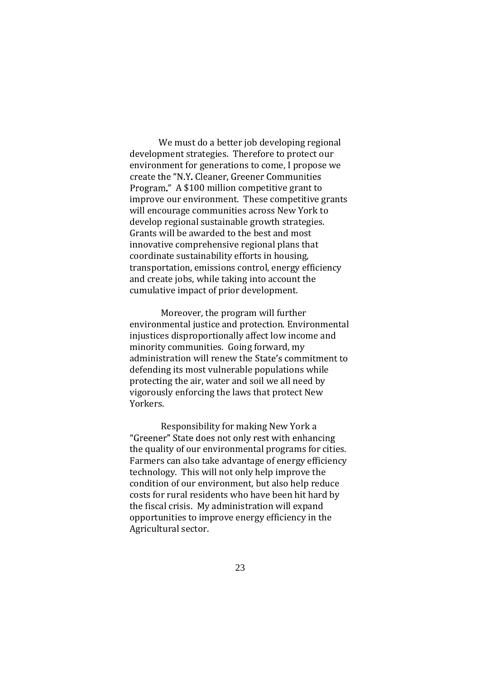We must do a better job developing regional development strategies. Therefore to protect our environment for generations to come, I propose we create the "N.Y. Cleaner, Greener Communities Program." A \$100 million competitive grant to improve our environment. These competitive grants will encourage communities across New York to develop regional sustainable growth strategies. Grants will be awarded to the best and most innovative comprehensive regional plans that coordinate sustainability efforts in housing, transportation, emissions control, energy efficiency and create jobs, while taking into account the cumulative impact of prior development.

Moreover, the program will further environmental justice and protection. Environmental injustices disproportionally affect low income and minority communities. Going forward, my administration will renew the State's commitment to defending its most vulnerable populations while protecting the air, water and soil we all need by vigorously enforcing the laws that protect New Yorkers.

Responsibility for making New York a "Greener" State does not only rest with enhancing the quality of our environmental programs for cities. Farmers can also take advantage of energy efficiency technology. This will not only help improve the condition of our environment, but also help reduce costs for rural residents who have been hit hard by the fiscal crisis. My administration will expand opportunities to improve energy efficiency in the Agricultural sector.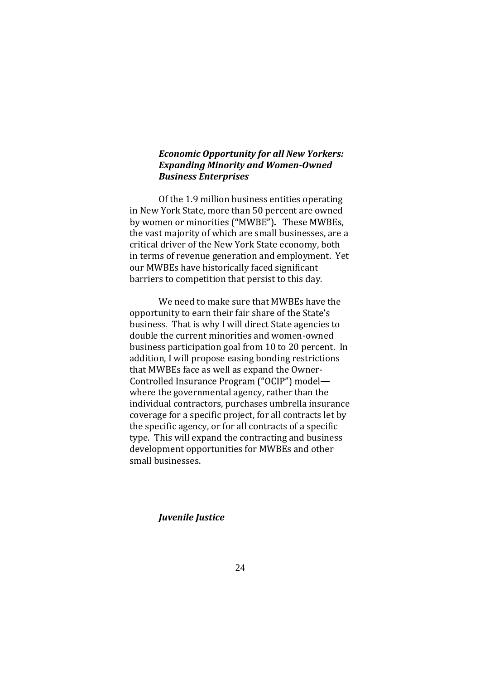# *Economic Opportunity for all New Yorkers: Expanding Minority and Women-Owned Business Enterprises*

Of the 1.9 million business entities operating in New York State, more than 50 percent are owned by women or minorities ("MWBE"). These MWBEs, the vast majority of which are small businesses, are a critical driver of the New York State economy, both in terms of revenue generation and employment. Yet our MWBEs have historically faced significant barriers to competition that persist to this day.

We need to make sure that MWBEs have the opportunity to earn their fair share of the State's business. That is why I will direct State agencies to double the current minorities and women-owned business participation goal from 10 to 20 percent. In addition, I will propose easing bonding restrictions that MWBEs face as well as expand the Owner-Controlled Insurance Program ("OCIP") modelwhere the governmental agency, rather than the individual contractors, purchases umbrella insurance coverage for a specific project, for all contracts let by the specific agency, or for all contracts of a specific type. This will expand the contracting and business development opportunities for MWBEs and other small businesses.

*Juvenile Justice*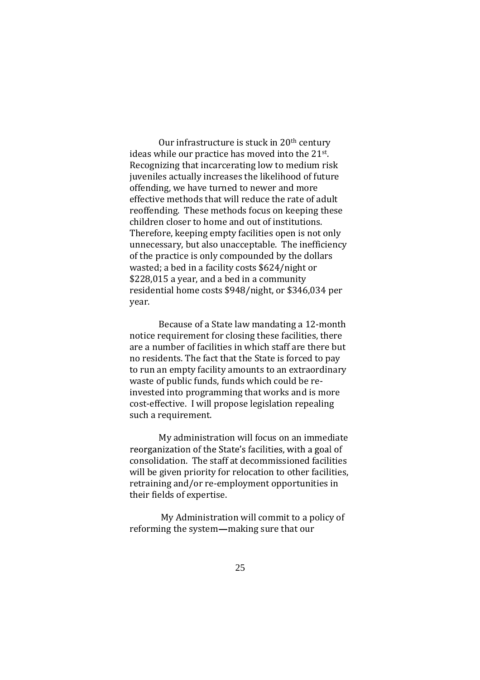Our infrastructure is stuck in 20th century ideas while our practice has moved into the 21st . Recognizing that incarcerating low to medium risk juveniles actually increases the likelihood of future offending, we have turned to newer and more effective methods that will reduce the rate of adult reoffending. These methods focus on keeping these children closer to home and out of institutions. Therefore, keeping empty facilities open is not only unnecessary, but also unacceptable. The inefficiency of the practice is only compounded by the dollars wasted; a bed in a facility costs \$624/night or \$228,015 a year, and a bed in a community residential home costs \$948/night, or \$346,034 per year.

Because of a State law mandating a 12-month notice requirement for closing these facilities, there are a number of facilities in which staff are there but no residents. The fact that the State is forced to pay to run an empty facility amounts to an extraordinary waste of public funds, funds which could be reinvested into programming that works and is more cost-effective. I will propose legislation repealing such a requirement.

My administration will focus on an immediate reorganization of the State's facilities, with a goal of consolidation. The staff at decommissioned facilities will be given priority for relocation to other facilities, retraining and/or re-employment opportunities in their fields of expertise.

My Administration will commit to a policy of reforming the system-making sure that our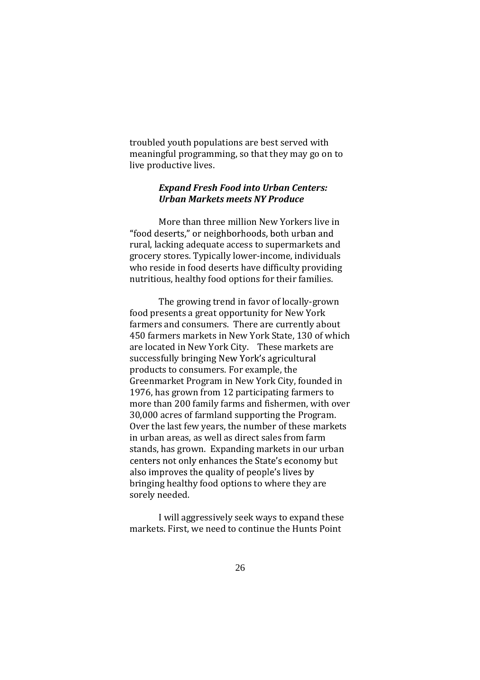troubled youth populations are best served with meaningful programming, so that they may go on to live productive lives.

# *Expand Fresh Food into Urban Centers: Urban Markets meets NY Produce*

More than three million New Yorkers live in "food deserts," or neighborhoods, both urban and rural, lacking adequate access to supermarkets and grocery stores. Typically lower-income, individuals who reside in food deserts have difficulty providing nutritious, healthy food options for their families.

The growing trend in favor of locally-grown food presents a great opportunity for New York farmers and consumers. There are currently about 450 farmers markets in New York State, 130 of which are located in New York City. These markets are successfully bringing New York's agricultural products to consumers. For example, the Greenmarket Program in New York City, founded in 1976, has grown from 12 participating farmers to more than 200 family farms and fishermen, with over 30,000 acres of farmland supporting the Program. Over the last few years, the number of these markets in urban areas, as well as direct sales from farm stands, has grown. Expanding markets in our urban centers not only enhances the State's economy but also improves the quality of people's lives by bringing healthy food options to where they are sorely needed.

I will aggressively seek ways to expand these markets. First, we need to continue the Hunts Point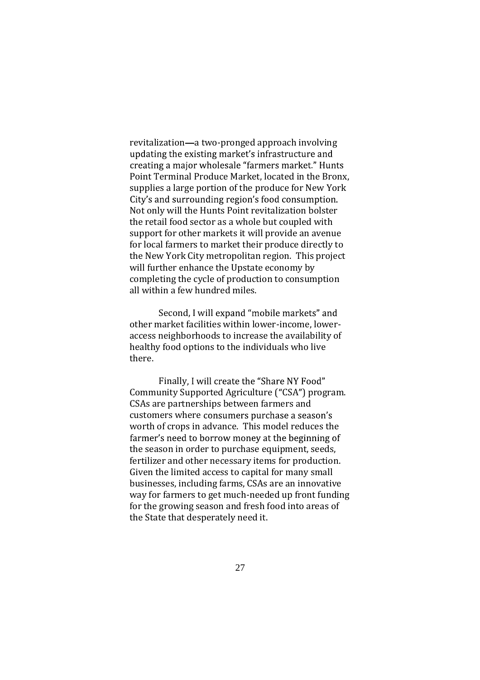revitalization—a two-pronged approach involving updating the existing market's infrastructure and creating a major wholesale "farmers market." Hunts Point Terminal Produce Market, located in the Bronx, supplies a large portion of the produce for New York City's and surrounding region's food consumption. Not only will the Hunts Point revitalization bolster the retail food sector as a whole but coupled with support for other markets it will provide an avenue for local farmers to market their produce directly to the New York City metropolitan region. This project will further enhance the Upstate economy by completing the cycle of production to consumption all within a few hundred miles.

Second, I will expand "mobile markets" and other market facilities within lower-income, loweraccess neighborhoods to increase the availability of healthy food options to the individuals who live there.

Finally, I will create the "Share NY Food" Community Supported Agriculture ("CSA") program. CSAs are partnerships between farmers and customers where consumers purchase a season's worth of crops in advance. This model reduces the farmer's need to borrow money at the beginning of the season in order to purchase equipment, seeds, fertilizer and other necessary items for production. Given the limited access to capital for many small businesses, including farms, CSAs are an innovative way for farmers to get much-needed up front funding for the growing season and fresh food into areas of the State that desperately need it.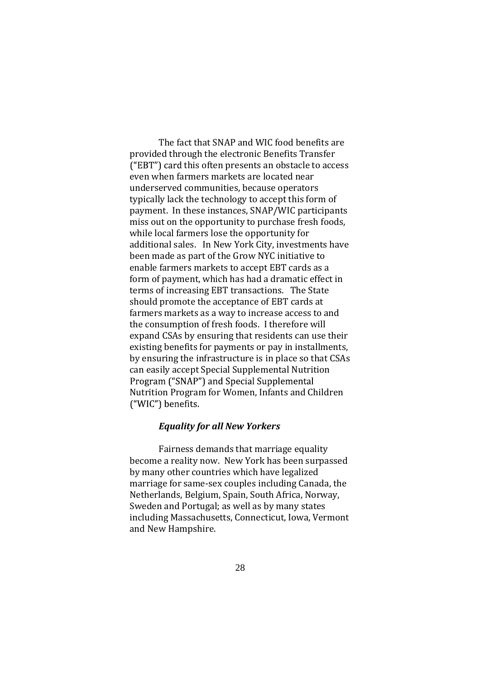The fact that SNAP and WIC food benefits are provided through the electronic Benefits Transfer  $f(EBT")$  card this often presents an obstacle to access even when farmers markets are located near underserved communities, because operators typically lack the technology to accept this form of payment. In these instances, SNAP/WIC participants miss out on the opportunity to purchase fresh foods, while local farmers lose the opportunity for additional sales. In New York City, investments have been made as part of the Grow NYC initiative to enable farmers markets to accept EBT cards as a form of payment, which has had a dramatic effect in terms of increasing EBT transactions. The State should promote the acceptance of EBT cards at farmers markets as a way to increase access to and the consumption of fresh foods. I therefore will expand CSAs by ensuring that residents can use their existing benefits for payments or pay in installments, by ensuring the infrastructure is in place so that CSAs can easily accept Special Supplemental Nutrition Program ("SNAP") and Special Supplemental Nutrition Program for Women, Infants and Children ("WIC") benefits.

#### *Equality for all New Yorkers*

Fairness demands that marriage equality become a reality now. New York has been surpassed by many other countries which have legalized marriage for same-sex couples including Canada, the Netherlands, Belgium, Spain, South Africa, Norway, Sweden and Portugal; as well as by many states including Massachusetts, Connecticut, Iowa, Vermont and New Hampshire.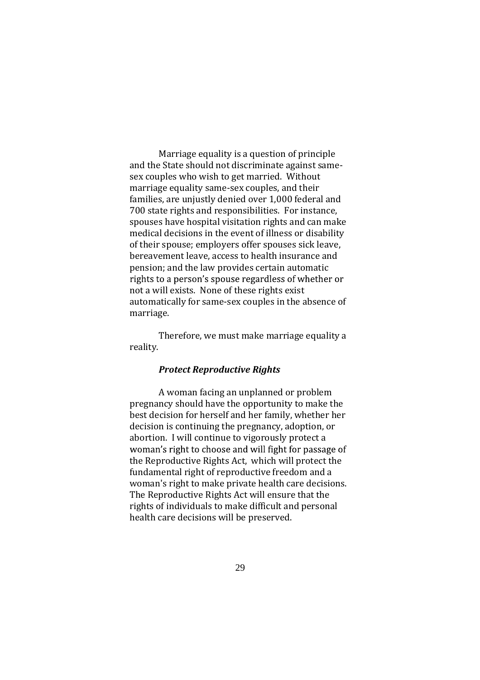Marriage equality is a question of principle and the State should not discriminate against samesex couples who wish to get married. Without marriage equality same-sex couples, and their families, are unjustly denied over 1,000 federal and 700 state rights and responsibilities. For instance, spouses have hospital visitation rights and can make medical decisions in the event of illness or disability of their spouse; employers offer spouses sick leave, bereavement leave, access to health insurance and pension; and the law provides certain automatic rights to a person's spouse regardless of whether or not a will exists. None of these rights exist automatically for same-sex couples in the absence of marriage.

Therefore, we must make marriage equality a reality.

#### *Protect Reproductive Rights*

A woman facing an unplanned or problem pregnancy should have the opportunity to make the best decision for herself and her family, whether her decision is continuing the pregnancy, adoption, or abortion. I will continue to vigorously protect a woman's right to choose and will fight for passage of the Reproductive Rights Act, which will protect the fundamental right of reproductive freedom and a woman's right to make private health care decisions. The Reproductive Rights Act will ensure that the rights of individuals to make difficult and personal health care decisions will be preserved.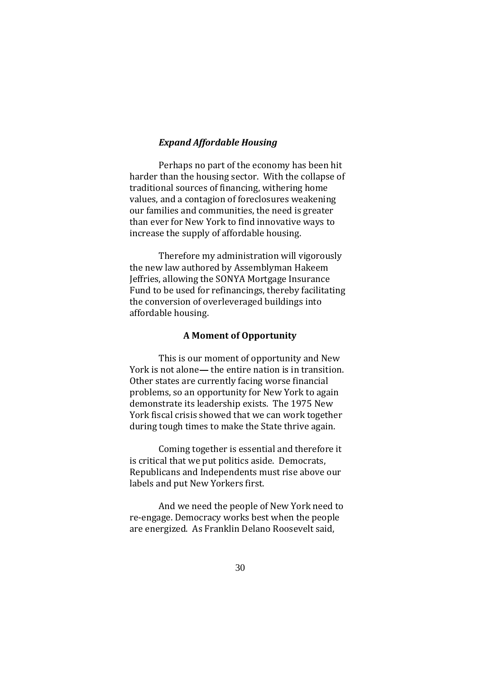## *Expand Affordable Housing*

Perhaps no part of the economy has been hit harder than the housing sector. With the collapse of traditional sources of financing, withering home values, and a contagion of foreclosures weakening our families and communities, the need is greater than ever for New York to find innovative ways to increase the supply of affordable housing.

Therefore my administration will vigorously the new law authored by Assemblyman Hakeem Jeffries, allowing the SONYA Mortgage Insurance Fund to be used for refinancings, thereby facilitating the conversion of overleveraged buildings into affordable housing.

#### **A Moment of Opportunity**

This is our moment of opportunity and New York is not alone— the entire nation is in transition. Other states are currently facing worse financial problems, so an opportunity for New York to again demonstrate its leadership exists. The 1975 New York fiscal crisis showed that we can work together during tough times to make the State thrive again.

Coming together is essential and therefore it is critical that we put politics aside. Democrats, Republicans and Independents must rise above our labels and put New Yorkers first.

And we need the people of New York need to re-engage. Democracy works best when the people are energized. As Franklin Delano Roosevelt said,